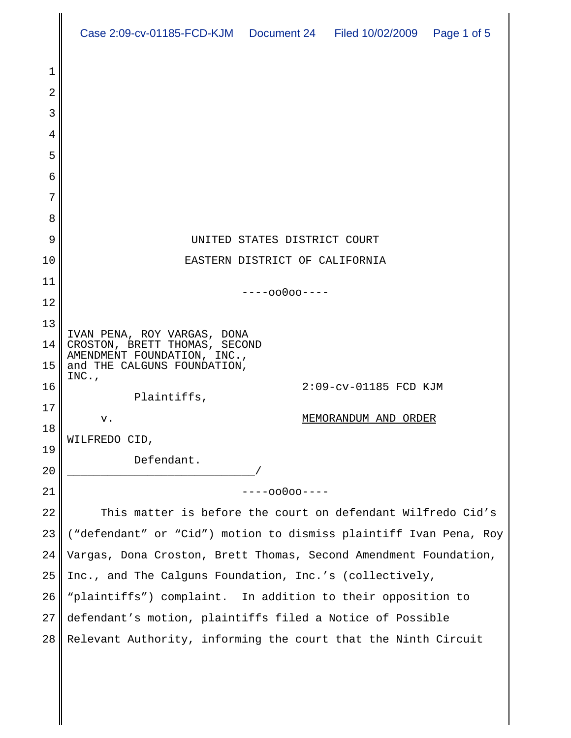|        | Case 2:09-cv-01185-FCD-KJM  Document 24  Filed 10/02/2009  Page 1 of 5 |
|--------|------------------------------------------------------------------------|
|        |                                                                        |
| 1      |                                                                        |
| 2      |                                                                        |
| 3      |                                                                        |
| 4      |                                                                        |
| 5      |                                                                        |
| 6      |                                                                        |
| 7      |                                                                        |
| 8<br>9 | UNITED STATES DISTRICT COURT                                           |
| 10     | EASTERN DISTRICT OF CALIFORNIA                                         |
| 11     |                                                                        |
| 12     | $---00000---$                                                          |
| 13     |                                                                        |
| 14     | IVAN PENA, ROY VARGAS, DONA<br>CROSTON, BRETT THOMAS, SECOND           |
| 15     | AMENDMENT FOUNDATION, INC.,<br>and THE CALGUNS FOUNDATION,             |
| 16     | $INC.$ ,<br>2:09-cv-01185 FCD KJM                                      |
| 17     | Plaintiffs,                                                            |
| 18     | MEMORANDUM AND ORDER<br>v.                                             |
| 19     | WILFREDO CID,                                                          |
| 20     | Defendant.                                                             |
| 21     | $---00000---$                                                          |
| 22     | This matter is before the court on defendant Wilfredo Cid's            |
| 23     | ("defendant" or "Cid") motion to dismiss plaintiff Ivan Pena, Roy      |
| 24     | Vargas, Dona Croston, Brett Thomas, Second Amendment Foundation,       |
| 25     | Inc., and The Calguns Foundation, Inc.'s (collectively,                |
| 26     | "plaintiffs") complaint. In addition to their opposition to            |
| 27     | defendant's motion, plaintiffs filed a Notice of Possible              |
| 28     | Relevant Authority, informing the court that the Ninth Circuit         |
|        |                                                                        |
|        |                                                                        |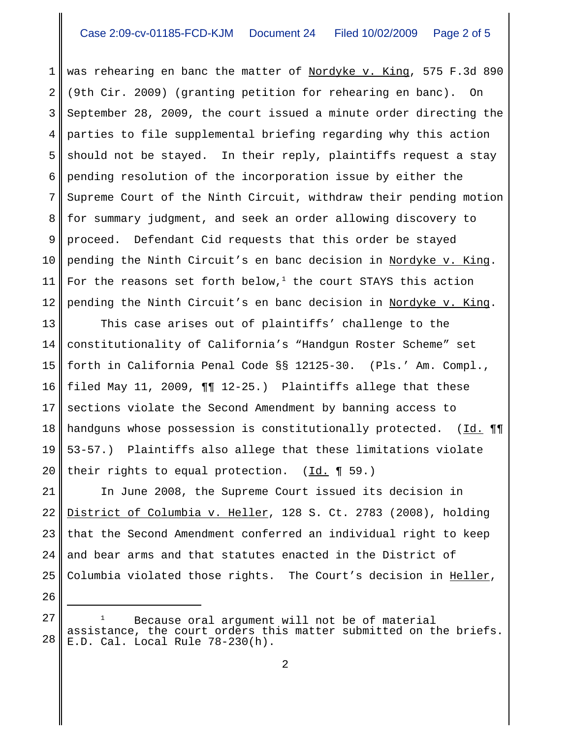1 2 3 4 5 6 7 8 9 10 11 12 was rehearing en banc the matter of Nordyke v. King, 575 F.3d 890 (9th Cir. 2009) (granting petition for rehearing en banc). On September 28, 2009, the court issued a minute order directing the parties to file supplemental briefing regarding why this action should not be stayed. In their reply, plaintiffs request a stay pending resolution of the incorporation issue by either the Supreme Court of the Ninth Circuit, withdraw their pending motion for summary judgment, and seek an order allowing discovery to proceed. Defendant Cid requests that this order be stayed pending the Ninth Circuit's en banc decision in Nordyke v. King. For the reasons set forth below, $^1$  the court STAYS this action pending the Ninth Circuit's en banc decision in Nordyke v. King.

13 14 15 16 17 18 19 20 This case arises out of plaintiffs' challenge to the constitutionality of California's "Handgun Roster Scheme" set forth in California Penal Code §§ 12125-30. (Pls.' Am. Compl., filed May 11, 2009, ¶¶ 12-25.) Plaintiffs allege that these sections violate the Second Amendment by banning access to handguns whose possession is constitutionally protected. (Id. 11 53-57.) Plaintiffs also allege that these limitations violate their rights to equal protection.  $(\underline{Id.} \P 59.)$ 

21 22 23 24 25 In June 2008, the Supreme Court issued its decision in District of Columbia v. Heller, 128 S. Ct. 2783 (2008), holding that the Second Amendment conferred an individual right to keep and bear arms and that statutes enacted in the District of Columbia violated those rights. The Court's decision in Heller,

26

<sup>27</sup> 28 Because oral argument will not be of material assistance, the court orders this matter submitted on the briefs. E.D. Cal. Local Rule 78-230(h).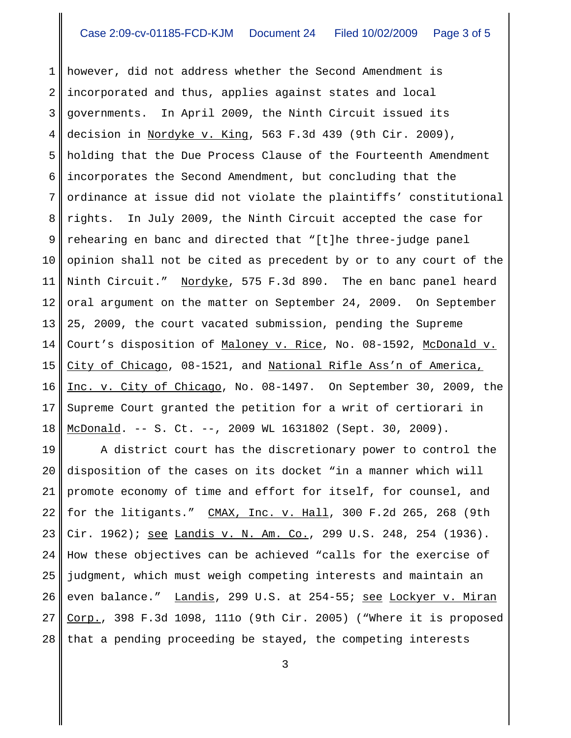1 2 3 4 5 6 7 8 9 10 11 12 13 14 15 16 17 18 however, did not address whether the Second Amendment is incorporated and thus, applies against states and local governments. In April 2009, the Ninth Circuit issued its decision in Nordyke v. King, 563 F.3d 439 (9th Cir. 2009), holding that the Due Process Clause of the Fourteenth Amendment incorporates the Second Amendment, but concluding that the ordinance at issue did not violate the plaintiffs' constitutional rights. In July 2009, the Ninth Circuit accepted the case for rehearing en banc and directed that "[t]he three-judge panel opinion shall not be cited as precedent by or to any court of the Ninth Circuit." Nordyke, 575 F.3d 890. The en banc panel heard oral argument on the matter on September 24, 2009. On September 25, 2009, the court vacated submission, pending the Supreme Court's disposition of Maloney v. Rice, No. 08-1592, McDonald v. City of Chicago, 08-1521, and National Rifle Ass'n of America, Inc. v. City of Chicago, No. 08-1497. On September 30, 2009, the Supreme Court granted the petition for a writ of certiorari in McDonald. -- S. Ct. --, 2009 WL 1631802 (Sept. 30, 2009).

19 20 21 22 23 24 25 26 27 28 A district court has the discretionary power to control the disposition of the cases on its docket "in a manner which will promote economy of time and effort for itself, for counsel, and for the litigants." CMAX, Inc. v. Hall, 300 F.2d 265, 268 (9th Cir. 1962); <u>see Landis v. N. Am. Co.</u>, 299 U.S. 248, 254 (1936). How these objectives can be achieved "calls for the exercise of judgment, which must weigh competing interests and maintain an even balance." Landis, 299 U.S. at 254-55; see Lockyer v. Miran Corp., 398 F.3d 1098, 111o (9th Cir. 2005) ("Where it is proposed that a pending proceeding be stayed, the competing interests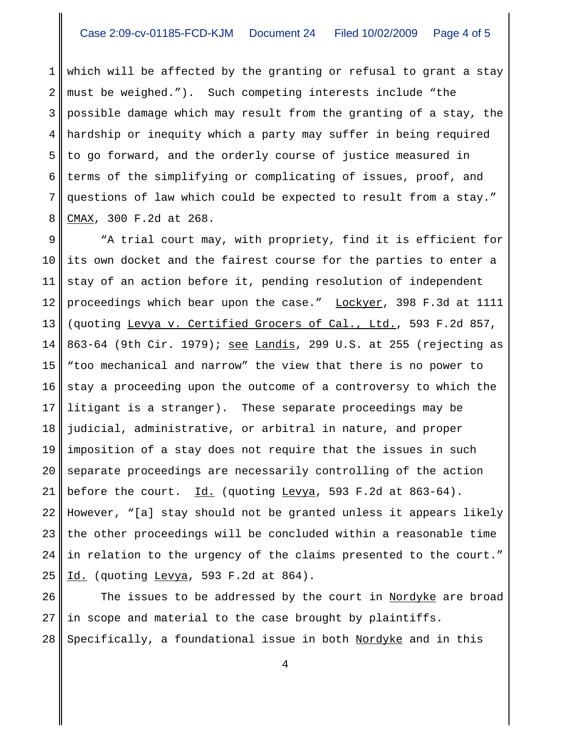1 2 3 4 5 6 7 8 which will be affected by the granting or refusal to grant a stay must be weighed."). Such competing interests include "the possible damage which may result from the granting of a stay, the hardship or inequity which a party may suffer in being required to go forward, and the orderly course of justice measured in terms of the simplifying or complicating of issues, proof, and questions of law which could be expected to result from a stay." CMAX, 300 F.2d at 268.

9 10 11 12 13 14 15 16 17 18 19 20 21 22 23 24 25 "A trial court may, with propriety, find it is efficient for its own docket and the fairest course for the parties to enter a stay of an action before it, pending resolution of independent proceedings which bear upon the case." Lockyer, 398 F.3d at 1111 (quoting Levya v. Certified Grocers of Cal., Ltd., 593 F.2d 857, 863-64 (9th Cir. 1979); see Landis, 299 U.S. at 255 (rejecting as "too mechanical and narrow" the view that there is no power to stay a proceeding upon the outcome of a controversy to which the litigant is a stranger). These separate proceedings may be judicial, administrative, or arbitral in nature, and proper imposition of a stay does not require that the issues in such separate proceedings are necessarily controlling of the action before the court.  $Id.$  (quoting Levya, 593 F.2d at 863-64). However, "[a] stay should not be granted unless it appears likely the other proceedings will be concluded within a reasonable time in relation to the urgency of the claims presented to the court." Id. (quoting Levya, 593 F.2d at 864).

26 27 28 The issues to be addressed by the court in Nordyke are broad in scope and material to the case brought by plaintiffs. Specifically, a foundational issue in both Nordyke and in this

4